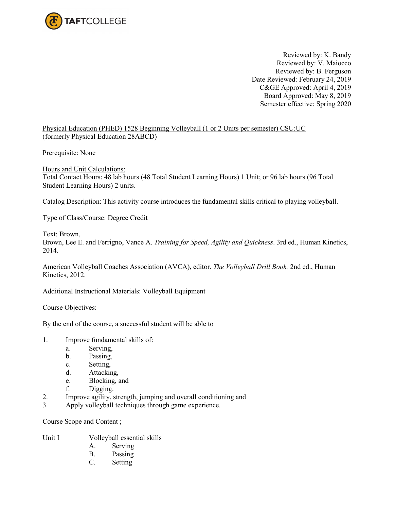

Reviewed by: K. Bandy Reviewed by: V. Maiocco Reviewed by: B. Ferguson Date Reviewed: February 24, 2019 C&GE Approved: April 4, 2019 Board Approved: May 8, 2019 Semester effective: Spring 2020

Physical Education (PHED) 1528 Beginning Volleyball (1 or 2 Units per semester) CSU:UC (formerly Physical Education 28ABCD)

Prerequisite: None

Hours and Unit Calculations: Total Contact Hours: 48 lab hours (48 Total Student Learning Hours) 1 Unit; or 96 lab hours (96 Total Student Learning Hours) 2 units.

Catalog Description: This activity course introduces the fundamental skills critical to playing volleyball.

Type of Class/Course: Degree Credit

Text: Brown,

Brown, Lee E. and Ferrigno, Vance A. *Training for Speed, Agility and Quickness*. 3rd ed., Human Kinetics, 2014.

American Volleyball Coaches Association (AVCA), editor. *The Volleyball Drill Book.* 2nd ed., Human Kinetics, 2012.

Additional Instructional Materials: Volleyball Equipment

Course Objectives:

By the end of the course, a successful student will be able to

- 1. Improve fundamental skills of:
	- a. Serving,
	- b. Passing,
	- c. Setting,
	- d. Attacking,
	- e. Blocking, and
	- f. Digging.
- 2. Improve agility, strength, jumping and overall conditioning and
- 3. Apply volleyball techniques through game experience.

Course Scope and Content ;

- Unit I Volleyball essential skills
	- A. Serving
	- B. Passing
	- C. Setting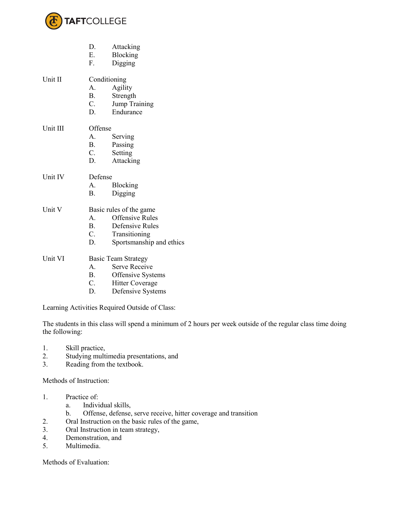

- D. Attacking
	- E. Blocking
	- F. Digging

Unit II Conditioning

- A. Agility
- B. Strength
- C. Jump Training
- D. Endurance
- Unit III Offense
	- A. Serving
	- B. Passing<br>C. Setting
	- **Setting**
	- D. Attacking
- Unit IV Defense
	- A. Blocking
	- B. Digging
- Unit V Basic rules of the game
	- A. Offensive Rules
	- B. Defensive Rules<br>C. Transitioning
	- **Transitioning**
	- D. Sportsmanship and ethics
- Unit VI Basic Team Strategy
	- A. Serve Receive
	- B. Offensive Systems
	- C. Hitter Coverage
	- D. Defensive Systems

Learning Activities Required Outside of Class:

The students in this class will spend a minimum of 2 hours per week outside of the regular class time doing the following:

- 1. Skill practice,
- 2. Studying multimedia presentations, and
- 3. Reading from the textbook.

Methods of Instruction:

- 1. Practice of:
	- a. Individual skills,
	- b. Offense, defense, serve receive, hitter coverage and transition
- 2. Oral Instruction on the basic rules of the game,
- 3. Oral Instruction in team strategy,
- 4. Demonstration, and
- 5. Multimedia.

Methods of Evaluation: